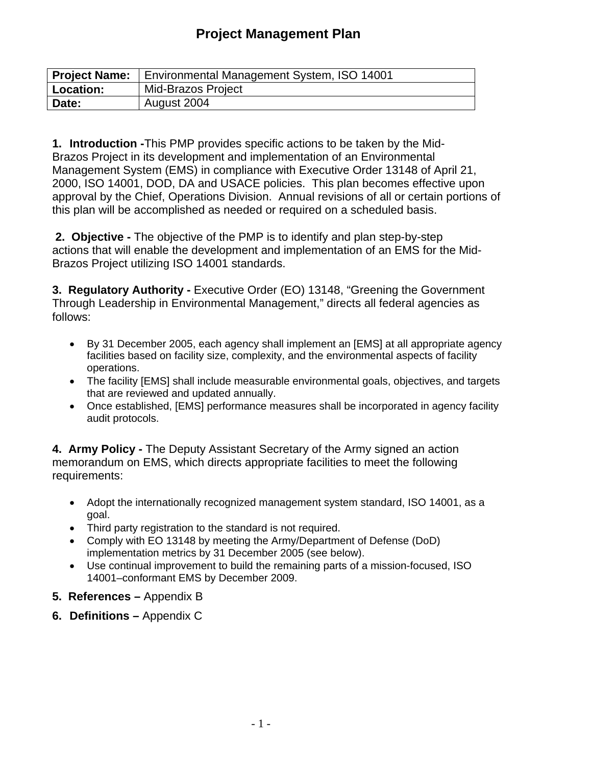# **Project Management Plan**

| <b>Project Name:</b> | Environmental Management System, ISO 14001 |
|----------------------|--------------------------------------------|
| Location:            | Mid-Brazos Project                         |
| Date:                | August 2004                                |

**1. Introduction -**This PMP provides specific actions to be taken by the Mid-Brazos Project in its development and implementation of an Environmental Management System (EMS) in compliance with Executive Order 13148 of April 21, 2000, ISO 14001, DOD, DA and USACE policies. This plan becomes effective upon approval by the Chief, Operations Division. Annual revisions of all or certain portions of this plan will be accomplished as needed or required on a scheduled basis.

 **2. Objective -** The objective of the PMP is to identify and plan step-by-step actions that will enable the development and implementation of an EMS for the Mid-Brazos Project utilizing ISO 14001 standards.

**3. Regulatory Authority - Executive Order (EO) 13148, "Greening the Government** Through Leadership in Environmental Management," directs all federal agencies as follows:

- By 31 December 2005, each agency shall implement an [EMS] at all appropriate agency facilities based on facility size, complexity, and the environmental aspects of facility operations.
- The facility [EMS] shall include measurable environmental goals, objectives, and targets that are reviewed and updated annually.
- Once established, [EMS] performance measures shall be incorporated in agency facility audit protocols.

**4. Army Policy -** The Deputy Assistant Secretary of the Army signed an action memorandum on EMS, which directs appropriate facilities to meet the following requirements:

- Adopt the internationally recognized management system standard, ISO 14001, as a goal.
- Third party registration to the standard is not required.
- Comply with EO 13148 by meeting the Army/Department of Defense (DoD) implementation metrics by 31 December 2005 (see below).
- Use continual improvement to build the remaining parts of a mission-focused, ISO 14001–conformant EMS by December 2009.
- **5. References –** Appendix B
- **6. Definitions –** Appendix C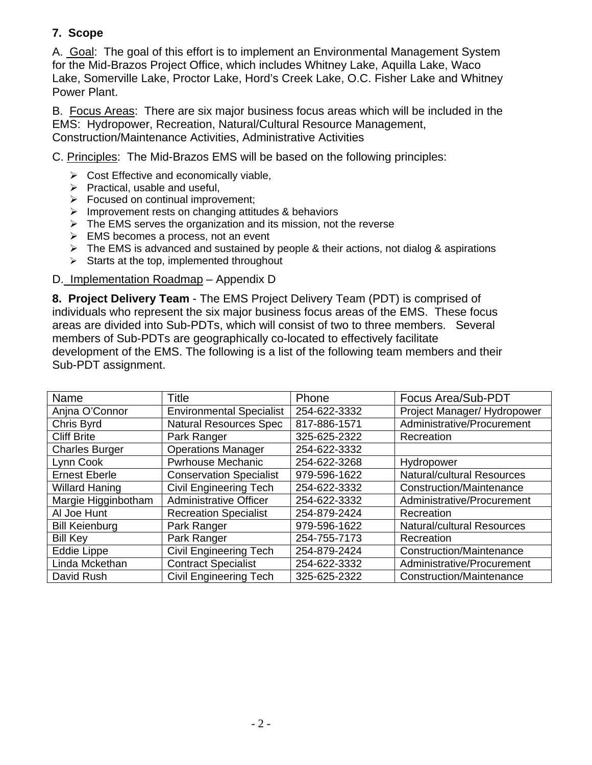## **7. Scope**

A. Goal: The goal of this effort is to implement an Environmental Management System for the Mid-Brazos Project Office, which includes Whitney Lake, Aquilla Lake, Waco Lake, Somerville Lake, Proctor Lake, Hord's Creek Lake, O.C. Fisher Lake and Whitney Power Plant.

B. Focus Areas: There are six major business focus areas which will be included in the EMS: Hydropower, Recreation, Natural/Cultural Resource Management, Construction/Maintenance Activities, Administrative Activities

C. Principles: The Mid-Brazos EMS will be based on the following principles:

- $\triangleright$  Cost Effective and economically viable,
- $\triangleright$  Practical, usable and useful,
- $\triangleright$  Focused on continual improvement;
- $\triangleright$  Improvement rests on changing attitudes & behaviors
- $\triangleright$  The EMS serves the organization and its mission, not the reverse
- $\triangleright$  EMS becomes a process, not an event
- $\triangleright$  The EMS is advanced and sustained by people & their actions, not dialog & aspirations
- $\triangleright$  Starts at the top, implemented throughout
- D. Implementation Roadmap Appendix D

**8. Project Delivery Team** - The EMS Project Delivery Team (PDT) is comprised of individuals who represent the six major business focus areas of the EMS. These focus areas are divided into Sub-PDTs, which will consist of two to three members. Several members of Sub-PDTs are geographically co-located to effectively facilitate development of the EMS. The following is a list of the following team members and their Sub-PDT assignment.

| Name                  | <b>Title</b>                    | Phone        | Focus Area/Sub-PDT                |
|-----------------------|---------------------------------|--------------|-----------------------------------|
| Anjna O'Connor        | <b>Environmental Specialist</b> | 254-622-3332 | Project Manager/Hydropower        |
| Chris Byrd            | <b>Natural Resources Spec</b>   | 817-886-1571 | Administrative/Procurement        |
| <b>Cliff Brite</b>    | Park Ranger                     | 325-625-2322 | Recreation                        |
| <b>Charles Burger</b> | <b>Operations Manager</b>       | 254-622-3332 |                                   |
| Lynn Cook             | <b>Pwrhouse Mechanic</b>        | 254-622-3268 | Hydropower                        |
| <b>Ernest Eberle</b>  | <b>Conservation Specialist</b>  | 979-596-1622 | <b>Natural/cultural Resources</b> |
| <b>Willard Haning</b> | <b>Civil Engineering Tech</b>   | 254-622-3332 | Construction/Maintenance          |
| Margie Higginbotham   | <b>Administrative Officer</b>   | 254-622-3332 | Administrative/Procurement        |
| Al Joe Hunt           | <b>Recreation Specialist</b>    | 254-879-2424 | Recreation                        |
| <b>Bill Keienburg</b> | Park Ranger                     | 979-596-1622 | <b>Natural/cultural Resources</b> |
| <b>Bill Key</b>       | Park Ranger                     | 254-755-7173 | Recreation                        |
| Eddie Lippe           | <b>Civil Engineering Tech</b>   | 254-879-2424 | Construction/Maintenance          |
| Linda Mckethan        | <b>Contract Specialist</b>      | 254-622-3332 | Administrative/Procurement        |
| David Rush            | <b>Civil Engineering Tech</b>   | 325-625-2322 | Construction/Maintenance          |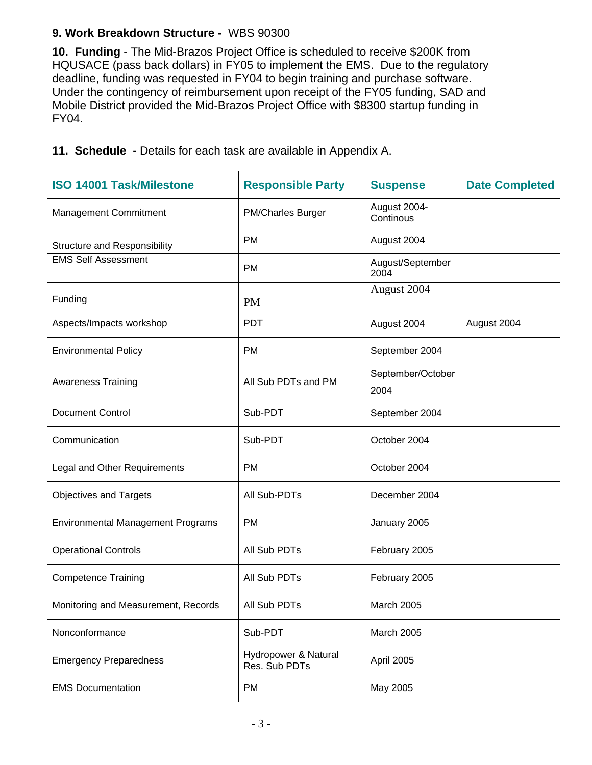## **9. Work Breakdown Structure -** WBS 90300

**10. Funding** - The Mid-Brazos Project Office is scheduled to receive \$200K from HQUSACE (pass back dollars) in FY05 to implement the EMS. Due to the regulatory deadline, funding was requested in FY04 to begin training and purchase software. Under the contingency of reimbursement upon receipt of the FY05 funding, SAD and Mobile District provided the Mid-Brazos Project Office with \$8300 startup funding in FY04.

| <b>ISO 14001 Task/Milestone</b>          | <b>Responsible Party</b>              | <b>Suspense</b>           | <b>Date Completed</b> |
|------------------------------------------|---------------------------------------|---------------------------|-----------------------|
| Management Commitment                    | <b>PM/Charles Burger</b>              | August 2004-<br>Continous |                       |
| <b>Structure and Responsibility</b>      | <b>PM</b>                             | August 2004               |                       |
| <b>EMS Self Assessment</b>               | <b>PM</b>                             | August/September<br>2004  |                       |
| Funding                                  | <b>PM</b>                             | August 2004               |                       |
| Aspects/Impacts workshop                 | <b>PDT</b>                            | August 2004               | August 2004           |
| <b>Environmental Policy</b>              | <b>PM</b>                             | September 2004            |                       |
| <b>Awareness Training</b>                | All Sub PDTs and PM                   | September/October<br>2004 |                       |
| Document Control                         | Sub-PDT                               | September 2004            |                       |
| Communication                            | Sub-PDT                               | October 2004              |                       |
| Legal and Other Requirements             | <b>PM</b>                             | October 2004              |                       |
| <b>Objectives and Targets</b>            | All Sub-PDTs                          | December 2004             |                       |
| <b>Environmental Management Programs</b> | <b>PM</b>                             | January 2005              |                       |
| <b>Operational Controls</b>              | All Sub PDTs                          | February 2005             |                       |
| <b>Competence Training</b>               | All Sub PDTs                          | February 2005             |                       |
| Monitoring and Measurement, Records      | All Sub PDTs                          | March 2005                |                       |
| Nonconformance                           | Sub-PDT                               | <b>March 2005</b>         |                       |
| <b>Emergency Preparedness</b>            | Hydropower & Natural<br>Res. Sub PDTs | April 2005                |                       |
| <b>EMS Documentation</b>                 | PM                                    | May 2005                  |                       |

**11. Schedule -** Details for each task are available in Appendix A.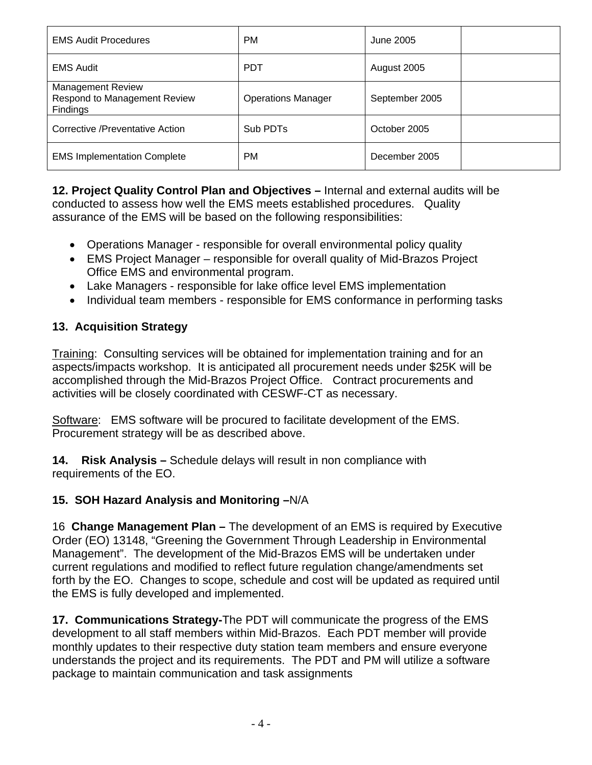| <b>EMS Audit Procedures</b>                                          | <b>PM</b>                 | June 2005      |
|----------------------------------------------------------------------|---------------------------|----------------|
| <b>EMS Audit</b>                                                     | <b>PDT</b>                | August 2005    |
| <b>Management Review</b><br>Respond to Management Review<br>Findings | <b>Operations Manager</b> | September 2005 |
| <b>Corrective /Preventative Action</b>                               | Sub PDT <sub>s</sub>      | October 2005   |
| <b>EMS Implementation Complete</b>                                   | PM                        | December 2005  |

**12. Project Quality Control Plan and Objectives –** Internal and external audits will be conducted to assess how well the EMS meets established procedures. Quality assurance of the EMS will be based on the following responsibilities:

- Operations Manager responsible for overall environmental policy quality
- EMS Project Manager responsible for overall quality of Mid-Brazos Project Office EMS and environmental program.
- Lake Managers responsible for lake office level EMS implementation
- Individual team members responsible for EMS conformance in performing tasks

## **13. Acquisition Strategy**

Training: Consulting services will be obtained for implementation training and for an aspects/impacts workshop. It is anticipated all procurement needs under \$25K will be accomplished through the Mid-Brazos Project Office. Contract procurements and activities will be closely coordinated with CESWF-CT as necessary.

Software: EMS software will be procured to facilitate development of the EMS. Procurement strategy will be as described above.

**14. Risk Analysis –** Schedule delays will result in non compliance with requirements of the EO.

## **15. SOH Hazard Analysis and Monitoring –**N/A

16 **Change Management Plan –** The development of an EMS is required by Executive Order (EO) 13148, "Greening the Government Through Leadership in Environmental Management". The development of the Mid-Brazos EMS will be undertaken under current regulations and modified to reflect future regulation change/amendments set forth by the EO. Changes to scope, schedule and cost will be updated as required until the EMS is fully developed and implemented.

**17. Communications Strategy-**The PDT will communicate the progress of the EMS development to all staff members within Mid-Brazos. Each PDT member will provide monthly updates to their respective duty station team members and ensure everyone understands the project and its requirements. The PDT and PM will utilize a software package to maintain communication and task assignments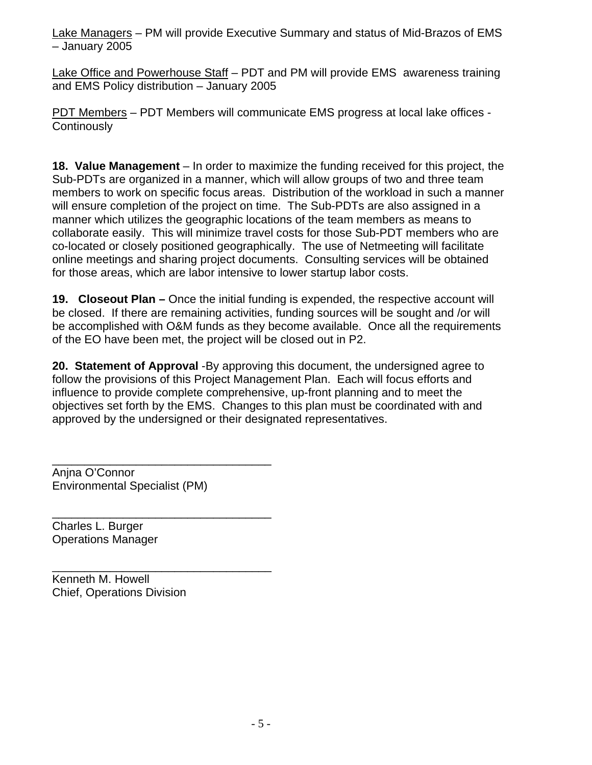Lake Managers – PM will provide Executive Summary and status of Mid-Brazos of EMS – January 2005

Lake Office and Powerhouse Staff - PDT and PM will provide EMS awareness training and EMS Policy distribution – January 2005

PDT Members – PDT Members will communicate EMS progress at local lake offices - **Continously** 

**18. Value Management** – In order to maximize the funding received for this project, the Sub-PDTs are organized in a manner, which will allow groups of two and three team members to work on specific focus areas. Distribution of the workload in such a manner will ensure completion of the project on time. The Sub-PDTs are also assigned in a manner which utilizes the geographic locations of the team members as means to collaborate easily. This will minimize travel costs for those Sub-PDT members who are co-located or closely positioned geographically. The use of Netmeeting will facilitate online meetings and sharing project documents. Consulting services will be obtained for those areas, which are labor intensive to lower startup labor costs.

**19. Closeout Plan –** Once the initial funding is expended, the respective account will be closed. If there are remaining activities, funding sources will be sought and /or will be accomplished with O&M funds as they become available. Once all the requirements of the EO have been met, the project will be closed out in P2.

**20. Statement of Approval** -By approving this document, the undersigned agree to follow the provisions of this Project Management Plan. Each will focus efforts and influence to provide complete comprehensive, up-front planning and to meet the objectives set forth by the EMS. Changes to this plan must be coordinated with and approved by the undersigned or their designated representatives.

\_\_\_\_\_\_\_\_\_\_\_\_\_\_\_\_\_\_\_\_\_\_\_\_\_\_\_\_\_\_\_\_\_\_ Anjna O'Connor Environmental Specialist (PM)

\_\_\_\_\_\_\_\_\_\_\_\_\_\_\_\_\_\_\_\_\_\_\_\_\_\_\_\_\_\_\_\_\_\_

\_\_\_\_\_\_\_\_\_\_\_\_\_\_\_\_\_\_\_\_\_\_\_\_\_\_\_\_\_\_\_\_\_\_

Charles L. Burger Operations Manager

Kenneth M. Howell Chief, Operations Division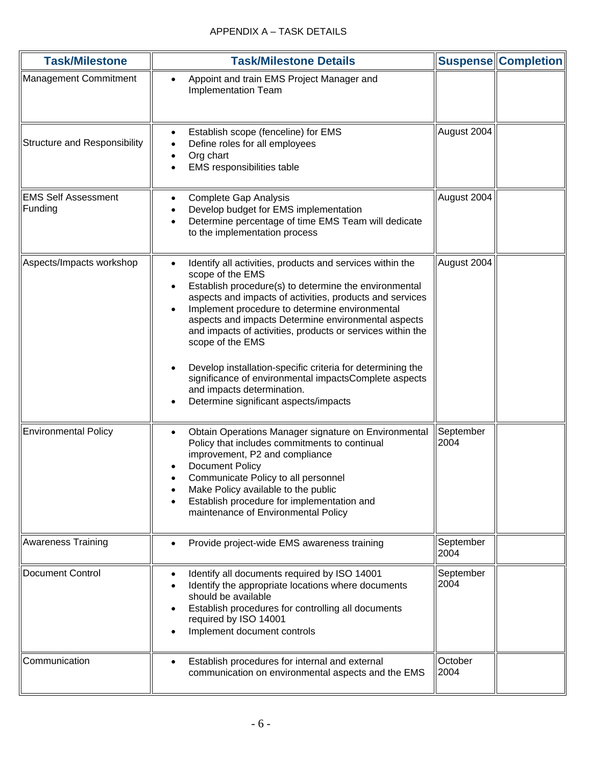| <b>Task/Milestone</b>                 | <b>Task/Milestone Details</b>                                                                                                                                                                                                                                                                                                                                                                                                                                                                                                                                                                            |                   | <b>Suspense Completion</b> |
|---------------------------------------|----------------------------------------------------------------------------------------------------------------------------------------------------------------------------------------------------------------------------------------------------------------------------------------------------------------------------------------------------------------------------------------------------------------------------------------------------------------------------------------------------------------------------------------------------------------------------------------------------------|-------------------|----------------------------|
| <b>Management Commitment</b>          | Appoint and train EMS Project Manager and<br><b>Implementation Team</b>                                                                                                                                                                                                                                                                                                                                                                                                                                                                                                                                  |                   |                            |
| <b>Structure and Responsibility</b>   | Establish scope (fenceline) for EMS<br>$\bullet$<br>Define roles for all employees<br>Org chart<br>EMS responsibilities table                                                                                                                                                                                                                                                                                                                                                                                                                                                                            | August 2004       |                            |
| <b>EMS Self Assessment</b><br>Funding | Complete Gap Analysis<br>Develop budget for EMS implementation<br>Determine percentage of time EMS Team will dedicate<br>to the implementation process                                                                                                                                                                                                                                                                                                                                                                                                                                                   | August 2004       |                            |
| Aspects/Impacts workshop              | Identify all activities, products and services within the<br>$\bullet$<br>scope of the EMS<br>Establish procedure(s) to determine the environmental<br>aspects and impacts of activities, products and services<br>Implement procedure to determine environmental<br>aspects and impacts Determine environmental aspects<br>and impacts of activities, products or services within the<br>scope of the EMS<br>Develop installation-specific criteria for determining the<br>significance of environmental impactsComplete aspects<br>and impacts determination.<br>Determine significant aspects/impacts | August 2004       |                            |
| <b>Environmental Policy</b>           | Obtain Operations Manager signature on Environmental<br>Policy that includes commitments to continual<br>improvement, P2 and compliance<br><b>Document Policy</b><br>Communicate Policy to all personnel<br>Make Policy available to the public<br>Establish procedure for implementation and<br>maintenance of Environmental Policy                                                                                                                                                                                                                                                                     | September<br>2004 |                            |
| <b>Awareness Training</b>             | Provide project-wide EMS awareness training                                                                                                                                                                                                                                                                                                                                                                                                                                                                                                                                                              | September<br>2004 |                            |
| <b>Document Control</b>               | Identify all documents required by ISO 14001<br>Identify the appropriate locations where documents<br>should be available<br>Establish procedures for controlling all documents<br>required by ISO 14001<br>Implement document controls                                                                                                                                                                                                                                                                                                                                                                  | September<br>2004 |                            |
| Communication                         | Establish procedures for internal and external<br>communication on environmental aspects and the EMS                                                                                                                                                                                                                                                                                                                                                                                                                                                                                                     | October<br>2004   |                            |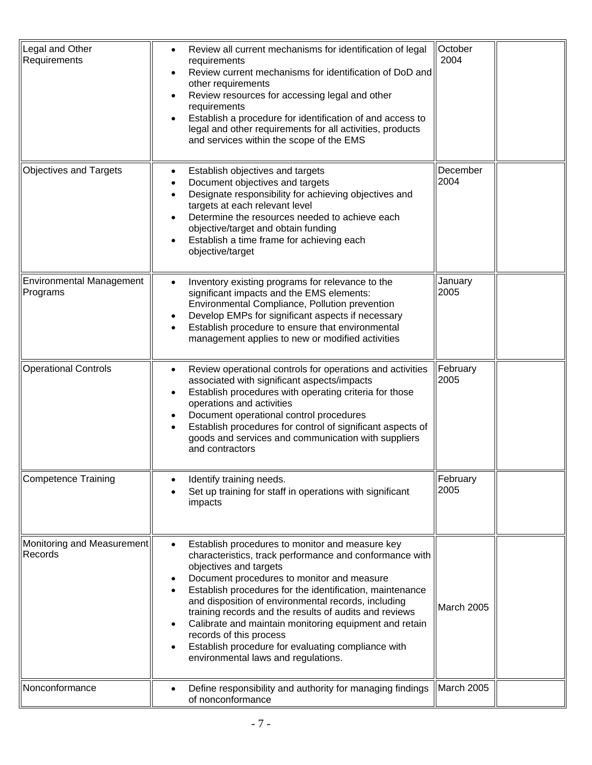| Legal and Other<br>Requirements             | Review all current mechanisms for identification of legal<br>requirements<br>Review current mechanisms for identification of DoD and<br>other requirements<br>Review resources for accessing legal and other<br>requirements<br>Establish a procedure for identification of and access to<br>legal and other requirements for all activities, products<br>and services within the scope of the EMS                                                                                                                                                     | October<br>2004   |
|---------------------------------------------|--------------------------------------------------------------------------------------------------------------------------------------------------------------------------------------------------------------------------------------------------------------------------------------------------------------------------------------------------------------------------------------------------------------------------------------------------------------------------------------------------------------------------------------------------------|-------------------|
| <b>Objectives and Targets</b>               | Establish objectives and targets<br>٠<br>Document objectives and targets<br>Designate responsibility for achieving objectives and<br>targets at each relevant level<br>Determine the resources needed to achieve each<br>objective/target and obtain funding<br>Establish a time frame for achieving each<br>objective/target                                                                                                                                                                                                                          | December<br>2004  |
| <b>Environmental Management</b><br>Programs | Inventory existing programs for relevance to the<br>significant impacts and the EMS elements:<br>Environmental Compliance, Pollution prevention<br>Develop EMPs for significant aspects if necessary<br>Establish procedure to ensure that environmental<br>management applies to new or modified activities                                                                                                                                                                                                                                           | January<br>2005   |
| <b>Operational Controls</b>                 | Review operational controls for operations and activities<br>associated with significant aspects/impacts<br>Establish procedures with operating criteria for those<br>operations and activities<br>Document operational control procedures<br>٠<br>Establish procedures for control of significant aspects of<br>goods and services and communication with suppliers<br>and contractors                                                                                                                                                                | February<br>2005  |
| <b>Competence Training</b>                  | Identify training needs.<br>Set up training for staff in operations with significant<br>impacts                                                                                                                                                                                                                                                                                                                                                                                                                                                        | February<br>2005  |
| Monitoring and Measurement<br>Records       | Establish procedures to monitor and measure key<br>characteristics, track performance and conformance with<br>objectives and targets<br>Document procedures to monitor and measure<br>٠<br>Establish procedures for the identification, maintenance<br>and disposition of environmental records, including<br>training records and the results of audits and reviews<br>Calibrate and maintain monitoring equipment and retain<br>records of this process<br>Establish procedure for evaluating compliance with<br>environmental laws and regulations. | <b>March 2005</b> |
| Nonconformance                              | Define responsibility and authority for managing findings<br>of nonconformance                                                                                                                                                                                                                                                                                                                                                                                                                                                                         | March 2005        |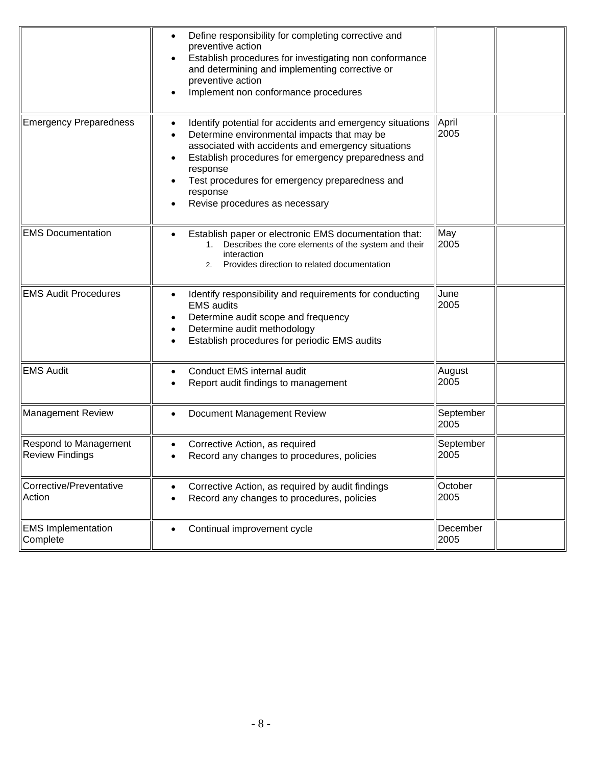|                                                 | Define responsibility for completing corrective and<br>preventive action<br>Establish procedures for investigating non conformance<br>and determining and implementing corrective or<br>preventive action<br>Implement non conformance procedures                                                                                 |                   |  |
|-------------------------------------------------|-----------------------------------------------------------------------------------------------------------------------------------------------------------------------------------------------------------------------------------------------------------------------------------------------------------------------------------|-------------------|--|
| <b>Emergency Preparedness</b>                   | Identify potential for accidents and emergency situations<br>Determine environmental impacts that may be<br>associated with accidents and emergency situations<br>Establish procedures for emergency preparedness and<br>response<br>Test procedures for emergency preparedness and<br>response<br>Revise procedures as necessary | April<br>2005     |  |
| <b>EMS Documentation</b>                        | Establish paper or electronic EMS documentation that:<br>Describes the core elements of the system and their<br>interaction<br>Provides direction to related documentation<br>2.                                                                                                                                                  | May<br>2005       |  |
| <b>EMS Audit Procedures</b>                     | Identify responsibility and requirements for conducting<br><b>EMS</b> audits<br>Determine audit scope and frequency<br>Determine audit methodology<br>Establish procedures for periodic EMS audits                                                                                                                                | June<br>2005      |  |
| <b>EMS Audit</b>                                | Conduct EMS internal audit<br>Report audit findings to management                                                                                                                                                                                                                                                                 | August<br>2005    |  |
| <b>Management Review</b>                        | Document Management Review                                                                                                                                                                                                                                                                                                        | September<br>2005 |  |
| Respond to Management<br><b>Review Findings</b> | Corrective Action, as required<br>Record any changes to procedures, policies                                                                                                                                                                                                                                                      | September<br>2005 |  |
| Corrective/Preventative<br>Action               | Corrective Action, as required by audit findings<br>Record any changes to procedures, policies                                                                                                                                                                                                                                    | October<br>2005   |  |
| <b>EMS Implementation</b><br>Complete           | Continual improvement cycle                                                                                                                                                                                                                                                                                                       | December<br>2005  |  |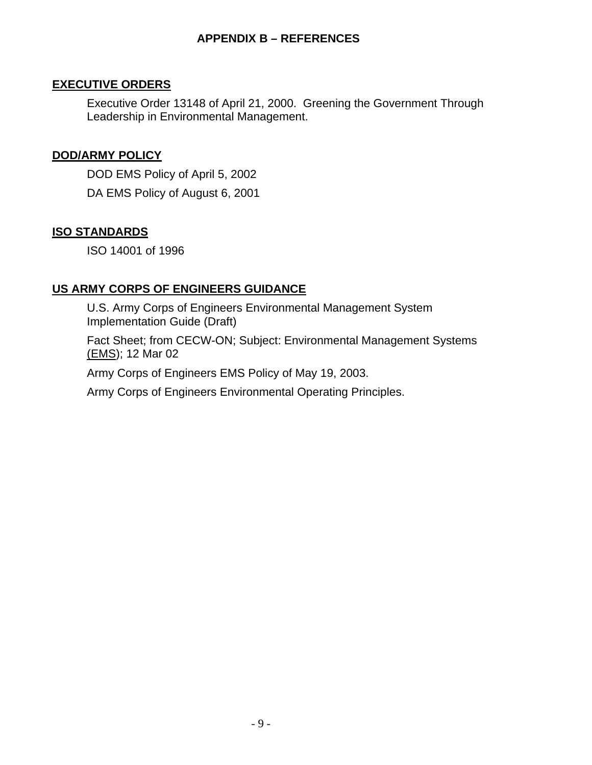### **APPENDIX B – REFERENCES**

#### **EXECUTIVE ORDERS**

Executive Order 13148 of April 21, 2000. Greening the Government Through Leadership in Environmental Management.

### **DOD/ARMY POLICY**

DOD EMS Policy of April 5, 2002 DA EMS Policy of August 6, 2001

#### **ISO STANDARDS**

ISO 14001 of 1996

### **US ARMY CORPS OF ENGINEERS GUIDANCE**

U.S. Army Corps of Engineers Environmental Management System Implementation Guide (Draft)

Fact Sheet; from CECW-ON; Subject: Environmental Management Systems (EMS); 12 Mar 02

Army Corps of Engineers EMS Policy of May 19, 2003.

Army Corps of Engineers Environmental Operating Principles.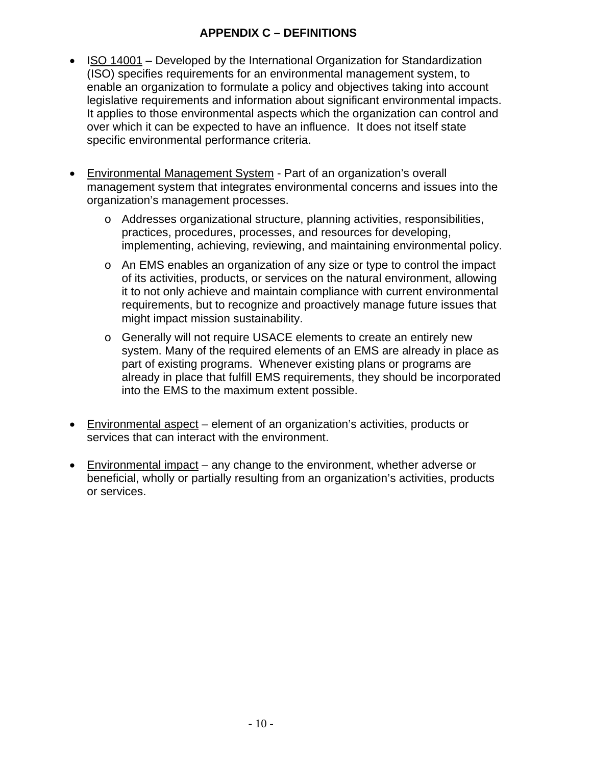## **APPENDIX C – DEFINITIONS**

- ISO 14001 Developed by the International Organization for Standardization (ISO) specifies requirements for an environmental management system, to enable an organization to formulate a policy and objectives taking into account legislative requirements and information about significant environmental impacts. It applies to those environmental aspects which the organization can control and over which it can be expected to have an influence. It does not itself state specific environmental performance criteria.
- Environmental Management System Part of an organization's overall management system that integrates environmental concerns and issues into the organization's management processes.
	- o Addresses organizational structure, planning activities, responsibilities, practices, procedures, processes, and resources for developing, implementing, achieving, reviewing, and maintaining environmental policy.
	- o An EMS enables an organization of any size or type to control the impact of its activities, products, or services on the natural environment, allowing it to not only achieve and maintain compliance with current environmental requirements, but to recognize and proactively manage future issues that might impact mission sustainability.
	- o Generally will not require USACE elements to create an entirely new system. Many of the required elements of an EMS are already in place as part of existing programs. Whenever existing plans or programs are already in place that fulfill EMS requirements, they should be incorporated into the EMS to the maximum extent possible.
- Environmental aspect element of an organization's activities, products or services that can interact with the environment.
- Environmental impact any change to the environment, whether adverse or beneficial, wholly or partially resulting from an organization's activities, products or services.